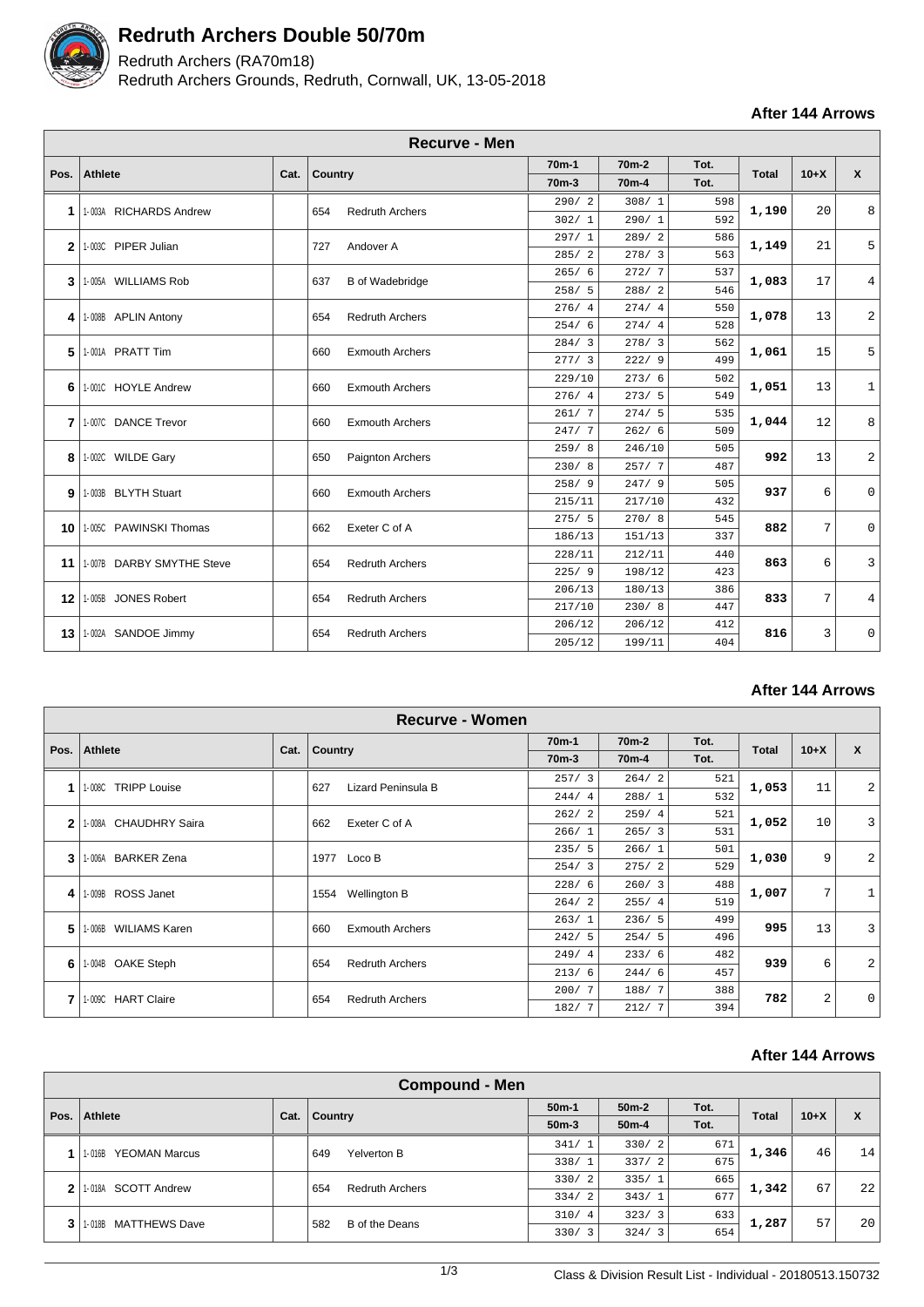

# **Redruth Archers Double 50/70m**

## Redruth Archers (RA70m18)

Redruth Archers Grounds, Redruth, Cornwall, UK, 13-05-2018

**After 144 Arrows**

|                |                           |                      | <b>Recurve - Men</b>          |                    |                    |      |              |        |                           |
|----------------|---------------------------|----------------------|-------------------------------|--------------------|--------------------|------|--------------|--------|---------------------------|
|                |                           |                      |                               | 70 <sub>m</sub> -1 | 70 <sub>m</sub> -2 | Tot. |              |        |                           |
| Pos.           | <b>Athlete</b>            | Cat.                 | <b>Country</b>                | 70 <sub>m</sub> -3 | 70 <sub>m</sub> -4 | Tot. | <b>Total</b> | $10+X$ | $\boldsymbol{\mathsf{x}}$ |
|                |                           |                      |                               | 290/2              | 308/1              | 598  | 1,190        |        |                           |
| 1              | 1-003A RICHARDS Andrew    |                      | <b>Redruth Archers</b><br>654 | 302/1              | 290/1              | 592  |              | 20     | 8                         |
| $\mathbf{2}$   | 1-003C PIPER Julian       |                      | 727<br>Andover A              | 297/1              | 289/2              | 586  | 1,149        | 21     | 5                         |
|                |                           |                      |                               | 285/2              | 278/3              | 563  |              |        |                           |
| 3              | 1-005A WILLIAMS Rob       |                      | 637<br><b>B</b> of Wadebridge | 265/6              | 272/7              | 537  | 1,083        | 17     | 4                         |
|                |                           |                      |                               | 258/5              | 288/2              | 546  |              |        |                           |
| 4              | 1-008B APLIN Antony       |                      | 654<br><b>Redruth Archers</b> | 276/4              | 274/4              | 550  | 1,078        | 13     | $\overline{a}$            |
|                |                           |                      |                               | 254/6              | 274/4              | 528  |              |        |                           |
| 5              | 1-001A PRATT Tim          |                      | <b>Exmouth Archers</b><br>660 | 284/3              | 278/3              | 562  | 1,061        | 15     | 5                         |
|                |                           |                      |                               | 277/3              | 222/9              | 499  |              |        |                           |
| 6              | 1-001C HOYLE Andrew       |                      | <b>Exmouth Archers</b><br>660 | 229/10             | 273/6              | 502  | 1,051        | 13     | $\mathbf{1}$              |
|                |                           |                      |                               | 276/4              | 273/5              | 549  |              |        |                           |
| $\overline{7}$ | 1.007C DANCE Trevor       |                      | <b>Exmouth Archers</b><br>660 | 261/7              | 274/5              | 535  | 1,044        | 12     | 8                         |
|                |                           |                      |                               | 247/7              | 262/6              | 509  |              |        |                           |
| 8              | 1-002C WILDE Gary         |                      | Paignton Archers<br>650       | 259/8              | 246/10             | 505  | 992          | 13     | $\overline{a}$            |
|                |                           |                      |                               | 230/8              | 257/7              | 487  |              |        |                           |
| 9              | 1-003B BLYTH Stuart       |                      | <b>Exmouth Archers</b><br>660 | 258/9              | 247/9              | 505  | 937          | 6      | $\Omega$                  |
|                |                           |                      |                               | 215/11             | 217/10             | 432  |              |        |                           |
| 10             | 1-005C PAWINSKI Thomas    | Exeter C of A<br>662 | 275/5                         | 270/8              | 545                | 882  | 7            | 0      |                           |
|                |                           |                      |                               | 186/13             | 151/13             | 337  |              |        |                           |
| 11             | 1-007B DARBY SMYTHE Steve |                      | <b>Redruth Archers</b><br>654 | 228/11             | 212/11             | 440  | 863          | 6      | 3                         |
|                |                           |                      |                               | 225/9              | 198/12             | 423  |              |        |                           |
| 12             | 1-005B JONES Robert       |                      | <b>Redruth Archers</b><br>654 | 206/13             | 180/13             | 386  | 833          | 7      | 4                         |
|                |                           |                      |                               | 217/10             | 230/8              | 447  |              |        |                           |
| 13             | 1-002A SANDOE Jimmy       |                      | <b>Redruth Archers</b><br>654 | 206/12             | 206/12             | 412  | 816          | 3      | 0                         |
|                |                           |                      |                               | 205/12             | 199/11             | 404  |              |        |                           |

**After 144 Arrows**

| Recurve - Women |                                 |                      |                               |                             |                            |       |              |              |                 |     |                |  |  |
|-----------------|---------------------------------|----------------------|-------------------------------|-----------------------------|----------------------------|-------|--------------|--------------|-----------------|-----|----------------|--|--|
|                 | <b>Athlete</b>                  |                      |                               | 70 <sub>m</sub> -1          | Tot.<br>70 <sub>m</sub> -2 |       | $10+X$       | $\mathbf{x}$ |                 |     |                |  |  |
| Pos.            |                                 | Cat.                 | <b>Country</b>                | $70m-3$                     | 70 <sub>m</sub> -4         | Tot.  | <b>Total</b> |              |                 |     |                |  |  |
|                 | <b>TRIPP Louise</b><br>1-008C   |                      | 627<br>Lizard Peninsula B     | 257/3                       | 264/2                      | 521   | 1,053        | 11           | $\overline{2}$  |     |                |  |  |
|                 |                                 |                      |                               | 244/4                       | 288/1                      | 532   |              |              |                 |     |                |  |  |
| $\mathbf{2}$    | <b>CHAUDHRY Saira</b><br>1-008A |                      | Exeter C of A<br>662          | 262/2                       | 259/4                      | 521   | 1,052        | 10           | $\overline{3}$  |     |                |  |  |
|                 |                                 |                      |                               | 266/1                       | 265/3                      | 531   |              |              |                 |     |                |  |  |
| 3               |                                 |                      | <b>BARKER Zena</b><br>1-006A  |                             | 1977<br>Loco B             | 235/5 | 266/1        | 501          | 1,030           | 9   | $\overline{2}$ |  |  |
|                 |                                 |                      |                               |                             |                            |       |              | 254/3        | 275/2           | 529 |                |  |  |
| 4               | 1-009B ROSS Janet               |                      |                               | <b>Wellington B</b><br>1554 | 228/6                      | 260/3 | 488          | 1,007        | $7\overline{ }$ |     |                |  |  |
|                 |                                 |                      |                               |                             |                            |       |              | 264/2        | 255/4           | 519 |                |  |  |
| 5               | 1-006B                          | <b>WILIAMS Karen</b> | 660<br><b>Exmouth Archers</b> | 263/1                       | 236/5                      | 499   | 995          | 13           | $\overline{3}$  |     |                |  |  |
|                 |                                 |                      |                               | 242/5                       | 254/5                      | 496   |              |              |                 |     |                |  |  |
| 6               | 1-004B OAKE Steph               |                      | 654<br><b>Redruth Archers</b> | 249/4                       | 233/6                      | 482   | 939          | 6            | $\overline{2}$  |     |                |  |  |
|                 |                                 |                      |                               | 213/6                       | 244/6                      | 457   |              |              |                 |     |                |  |  |
| 7               | 1-009C HART Claire              |                      | 654<br><b>Redruth Archers</b> | 200/7                       | 188/7                      | 388   | 782          | 2            | $\mathbf{0}$    |     |                |  |  |
|                 |                                 |                      |                               |                             |                            |       | 182/7        | 212/7        | 394             |     |                |  |  |

#### **After 144 Arrows**

|                 | <b>Compound - Men</b>          |         |                               |                    |                        |       |              |        |    |    |
|-----------------|--------------------------------|---------|-------------------------------|--------------------|------------------------|-------|--------------|--------|----|----|
|                 |                                |         |                               | $50m-1$            | $50m-2$                | Tot.  | <b>Total</b> | $10+X$ | X  |    |
| Pos.<br>Athlete | Cat.                           | Country | $50m-3$                       | $50m-4$            | Tot.                   |       |              |        |    |    |
|                 | <b>YEOMAN Marcus</b><br>1-016B |         |                               | Yelverton B<br>649 | 341/1                  | 330/2 | 671          | 1,346  | 46 | 14 |
|                 |                                |         |                               |                    | 338/1                  | 337/2 | 675          |        |    |    |
| 2               | <b>SCOTT Andrew</b><br>1-018A  |         | 654<br><b>Redruth Archers</b> | 330/2              | 335/1                  | 665   | 1,342        | 67     | 22 |    |
|                 |                                |         |                               | 334/2              | 343/1                  | 677   |              |        |    |    |
| 3               | 1-018B MATTHEWS Dave           |         | B of the Deans<br>582         | 310/4              | 323/<br>$\overline{3}$ | 633   | 1,287        | 57     | 20 |    |
|                 |                                |         |                               | 330/3              | 324/3                  | 654   |              |        |    |    |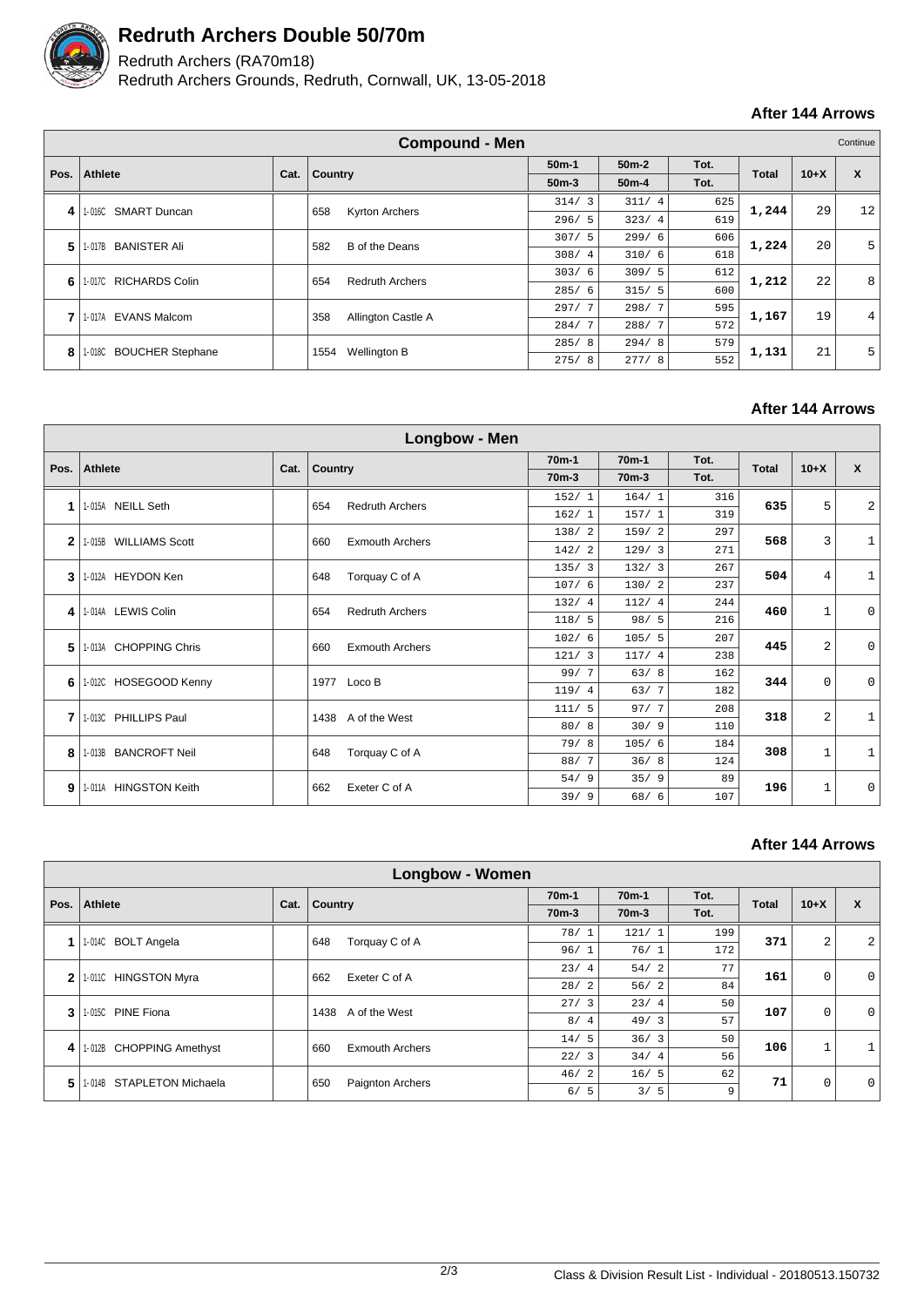

## **Redruth Archers Double 50/70m**

### Redruth Archers (RA70m18)

Redruth Archers Grounds, Redruth, Cornwall, UK, 13-05-2018

### **After 144 Arrows**

|      | <b>Compound - Men</b><br>Continue |      |                               |                        |         |      |              |        |    |
|------|-----------------------------------|------|-------------------------------|------------------------|---------|------|--------------|--------|----|
|      | <b>Athlete</b>                    |      |                               | $50m-1$                | $50m-2$ | Tot. | <b>Total</b> |        |    |
| Pos. |                                   | Cat. | Country                       | $50m-3$                | $50m-4$ | Tot. |              | $10+X$ | X  |
| 4    | 1-016C SMART Duncan               |      | 658<br><b>Kyrton Archers</b>  | 314/<br>$\overline{3}$ | 311/4   | 625  | 1,244        | 29     | 12 |
|      |                                   |      |                               | 323/4<br>296/5         | 619     |      |              |        |    |
| 5    | <b>BANISTER Ali</b><br>1-017B     |      | B of the Deans<br>582         | 307/5                  | 299/6   | 606  | 1,224        | 20     | 5  |
|      |                                   |      |                               | 308/4                  | 310/6   | 618  |              |        |    |
| 6    | 1-017C RICHARDS Colin             |      | <b>Redruth Archers</b><br>654 | 303/6                  | 309/5   | 612  | 1,212        | 22     | 8  |
|      |                                   |      |                               | 285/6                  | 315/5   | 600  |              |        |    |
| 7    | <b>EVANS Malcom</b><br>1-017A     |      | Allington Castle A<br>358     | 297/7                  | 298/7   | 595  | 1,167        | 19     | 4  |
|      |                                   |      |                               | 284/<br>-7             | 288/7   | 572  |              |        |    |
| 8    | 1-018C BOUCHER Stephane           |      | Wellington B<br>1554          | 285/8                  | 294/8   | 579  | 1,131        | 21     | 5  |
|      |                                   |      |                               | 275/<br>8              | 277/8   | 552  |              |        |    |

#### **After 144 Arrows**

|              |                                 |      |         | Longbow - Men                 |                    |                    |       |              |             |                |             |
|--------------|---------------------------------|------|---------|-------------------------------|--------------------|--------------------|-------|--------------|-------------|----------------|-------------|
|              |                                 |      |         |                               | 70 <sub>m</sub> -1 | 70 <sub>m</sub> -1 | Tot.  |              |             | $\mathbf{x}$   |             |
| Pos.         | <b>Athlete</b>                  | Cat. | Country |                               | $70m-3$            | 70 <sub>m</sub> -3 | Tot.  | <b>Total</b> | $10+X$      |                |             |
| 1            | 1-015A NEILL Seth               |      | 654     | <b>Redruth Archers</b>        | 152/1              | 164/1              | 316   | 635          | 5           | $\overline{c}$ |             |
|              |                                 |      |         |                               | 162/1              | 157/1              | 319   |              |             |                |             |
| $\mathbf{2}$ | <b>WILLIAMS Scott</b><br>1-015B |      | 660     | <b>Exmouth Archers</b>        | 138/2              | 159/2              | 297   | 568          | 3           | $\mathbf 1$    |             |
|              |                                 |      |         |                               | 142/2              | 129/3              | 271   |              |             |                |             |
| 3            | 1-012A HEYDON Ken               |      | 648     | Torquay C of A                | 135/3              | 132/3              | 267   | 504          | 4           | $\mathbf{1}$   |             |
|              |                                 |      |         |                               | 107/6              | 130/2              | 237   |              |             |                |             |
| 4            | 1-014A LEWIS Colin              |      |         | <b>Redruth Archers</b><br>654 |                    | 132/4              | 112/4 | 244          | 460         | $\mathbf{1}$   | $\mathbf 0$ |
|              |                                 |      |         |                               | 118/5              | 98/5               | 216   |              |             |                |             |
| 5            | 1-013A CHOPPING Chris           |      | 660     | <b>Exmouth Archers</b>        | 102/6              | 105/5              | 207   | 445          | 2           | $\mathbf 0$    |             |
|              |                                 |      |         |                               | 121/3              | 117/4              | 238   |              |             |                |             |
| 6            | 1-012C HOSEGOOD Kenny           |      | 1977    | Loco B                        | 99/7               | 63/8               | 162   | 344          | $\mathbf 0$ | $\mathbf 0$    |             |
|              |                                 |      |         |                               | 119/4              | 63/7               | 182   |              |             |                |             |
| 7            | 1-013C PHILLIPS Paul            |      | 1438    | A of the West                 | 111/5              | 97/7               | 208   | 318          | 2           | $\mathbf{1}$   |             |
|              |                                 |      |         |                               | 80/8               | 30/9               | 110   |              |             |                |             |
| 8            | <b>BANCROFT Neil</b><br>1-013B  |      | 648     | Torquay C of A                | 79/8               | 105/6              | 184   | 308          | 1           | $\mathbf{1}$   |             |
|              |                                 |      |         |                               | 88/7               | 36/8               | 124   |              |             |                |             |
| 9            | 1-011A HINGSTON Keith           |      | 662     | Exeter C of A                 | 54/9               | 35/9               | 89    | 196          | 1           | $\mathbf 0$    |             |
|              |                                 |      |         |                               | 39/9               | 68/6               | 107   |              |             |                |             |

### **After 144 Arrows**

|              | <b>Longbow - Women</b>              |      |                        |                    |                    |      |              |              |              |  |  |
|--------------|-------------------------------------|------|------------------------|--------------------|--------------------|------|--------------|--------------|--------------|--|--|
| Pos.         |                                     |      |                        | 70 <sub>m</sub> -1 | 70 <sub>m</sub> -1 | Tot. | <b>Total</b> | $10+X$       | X            |  |  |
|              | <b>Athlete</b>                      | Cat. | Country                | 70 <sub>m</sub> -3 | 70 <sub>m</sub> -3 | Tot. |              |              |              |  |  |
|              | 1-014C BOLT Angela                  |      | Torquay C of A<br>648  | 78/1               | 121/1              | 199  | 371          | 2            | 2            |  |  |
|              |                                     |      |                        | 96/1               | 76/1               | 172  |              |              |              |  |  |
| $\mathbf{2}$ | <b>HINGSTON Myra</b><br>1-011C      |      | Exeter C of A<br>662   | 23/4               | 54/2               | 77   | 161          | $\mathbf 0$  | $\Omega$     |  |  |
|              |                                     |      |                        | 28/2               | 56/2               | 84   |              |              |              |  |  |
| 3            | 1-015C PINE Fiona                   |      | A of the West<br>1438  | 27/3               | 23/4               | 50   | 107          | $\mathbf 0$  | $\mathbf 0$  |  |  |
|              |                                     |      |                        | 8/4                | 49/3               | 57   |              |              |              |  |  |
| 4            | 1-012B CHOPPING Amethyst            | 660  | <b>Exmouth Archers</b> | 14/5               | 36/3               | 50   | 106          | $\mathbf{1}$ | $\mathbf{1}$ |  |  |
|              |                                     |      |                        | 22/3               | 34/4               | 56   |              |              |              |  |  |
| 5            | <b>STAPLETON Michaela</b><br>1-014B | 650  | Paignton Archers       | 46/2               | 16/5               | 62   | 71           | 0            | $\mathbf 0$  |  |  |
|              |                                     |      |                        | 6/5                | 3/5                | 9    |              |              |              |  |  |